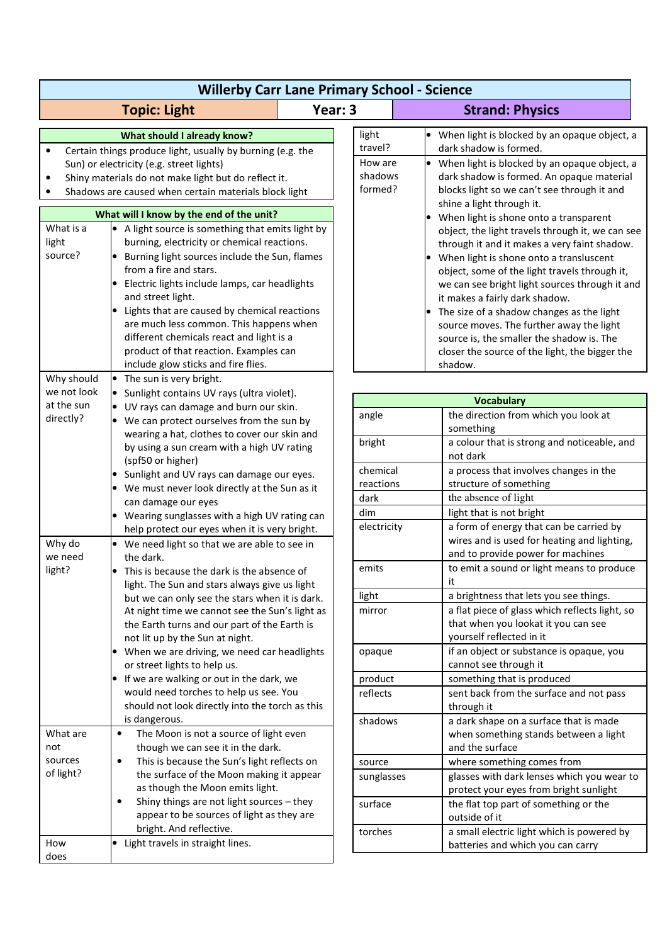|                                                                                                                                                                                                                                                        | <b>Willerby Carr Lane Primary School - Science</b>                                                                                                                                                                                                                                                                                                                                                                                                                        |         |                                                   |                                                                                                                                                                                                                                                                                                                                                                                                                                                                                     |
|--------------------------------------------------------------------------------------------------------------------------------------------------------------------------------------------------------------------------------------------------------|---------------------------------------------------------------------------------------------------------------------------------------------------------------------------------------------------------------------------------------------------------------------------------------------------------------------------------------------------------------------------------------------------------------------------------------------------------------------------|---------|---------------------------------------------------|-------------------------------------------------------------------------------------------------------------------------------------------------------------------------------------------------------------------------------------------------------------------------------------------------------------------------------------------------------------------------------------------------------------------------------------------------------------------------------------|
|                                                                                                                                                                                                                                                        | <b>Topic: Light</b>                                                                                                                                                                                                                                                                                                                                                                                                                                                       | Year: 3 |                                                   | <b>Strand: Physics</b>                                                                                                                                                                                                                                                                                                                                                                                                                                                              |
| What should I already know?<br>Certain things produce light, usually by burning (e.g. the<br>Sun) or electricity (e.g. street lights)<br>Shiny materials do not make light but do reflect it.<br>Shadows are caused when certain materials block light |                                                                                                                                                                                                                                                                                                                                                                                                                                                                           |         | light<br>travel?<br>How are<br>shadows<br>formed? | When light is blocked by an opaque object, a<br>dark shadow is formed.<br>When light is blocked by an opaque object, a<br>dark shadow is formed. An opaque material<br>blocks light so we can't see through it and                                                                                                                                                                                                                                                                  |
| What will I know by the end of the unit?                                                                                                                                                                                                               |                                                                                                                                                                                                                                                                                                                                                                                                                                                                           |         |                                                   | shine a light through it.<br>When light is shone onto a transparent                                                                                                                                                                                                                                                                                                                                                                                                                 |
| What is a<br>light<br>source?                                                                                                                                                                                                                          | • A light source is something that emits light by<br>burning, electricity or chemical reactions.<br>Burning light sources include the Sun, flames<br>from a fire and stars.<br>Electric lights include lamps, car headlights<br>and street light.<br>Lights that are caused by chemical reactions<br>are much less common. This happens when<br>different chemicals react and light is a<br>product of that reaction. Examples can<br>include glow sticks and fire flies. |         |                                                   | object, the light travels through it, we can see<br>through it and it makes a very faint shadow.<br>When light is shone onto a transluscent<br>object, some of the light travels through it,<br>we can see bright light sources through it and<br>it makes a fairly dark shadow.<br>The size of a shadow changes as the light<br>source moves. The further away the light<br>source is, the smaller the shadow is. The<br>closer the source of the light, the bigger the<br>shadow. |
| Why should                                                                                                                                                                                                                                             | • The sun is very bright.                                                                                                                                                                                                                                                                                                                                                                                                                                                 |         |                                                   |                                                                                                                                                                                                                                                                                                                                                                                                                                                                                     |
| we not look                                                                                                                                                                                                                                            | Sunlight contains UV rays (ultra violet).                                                                                                                                                                                                                                                                                                                                                                                                                                 |         |                                                   | <b>Vocabulary</b>                                                                                                                                                                                                                                                                                                                                                                                                                                                                   |
| at the sun<br>directly?                                                                                                                                                                                                                                | • UV rays can damage and burn our skin.<br>We can protect ourselves from the sun by<br>wearing a hat, clothes to cover our skin and                                                                                                                                                                                                                                                                                                                                       |         | angle                                             | the direction from which you look at<br>something                                                                                                                                                                                                                                                                                                                                                                                                                                   |
|                                                                                                                                                                                                                                                        | by using a sun cream with a high UV rating<br>(spf50 or higher)                                                                                                                                                                                                                                                                                                                                                                                                           |         | bright                                            | a colour that is strong and noticeable, and<br>not dark                                                                                                                                                                                                                                                                                                                                                                                                                             |
|                                                                                                                                                                                                                                                        | Sunlight and UV rays can damage our eyes.                                                                                                                                                                                                                                                                                                                                                                                                                                 |         | chemical<br>reactions                             | a process that involves changes in the<br>structure of something                                                                                                                                                                                                                                                                                                                                                                                                                    |
|                                                                                                                                                                                                                                                        | • We must never look directly at the Sun as it                                                                                                                                                                                                                                                                                                                                                                                                                            |         | dark                                              | the absence of light                                                                                                                                                                                                                                                                                                                                                                                                                                                                |
|                                                                                                                                                                                                                                                        | can damage our eyes                                                                                                                                                                                                                                                                                                                                                                                                                                                       |         | dim                                               | light that is not bright                                                                                                                                                                                                                                                                                                                                                                                                                                                            |
| Why do<br>we need                                                                                                                                                                                                                                      | Wearing sunglasses with a high UV rating can<br>help protect our eyes when it is very bright.<br>• We need light so that we are able to see in<br>the dark.                                                                                                                                                                                                                                                                                                               |         | electricity                                       | a form of energy that can be carried by<br>wires and is used for heating and lighting,<br>and to provide power for machines                                                                                                                                                                                                                                                                                                                                                         |
| light?                                                                                                                                                                                                                                                 | This is because the dark is the absence of<br>light. The Sun and stars always give us light                                                                                                                                                                                                                                                                                                                                                                               |         | emits                                             | to emit a sound or light means to produce<br>it                                                                                                                                                                                                                                                                                                                                                                                                                                     |
|                                                                                                                                                                                                                                                        | but we can only see the stars when it is dark.                                                                                                                                                                                                                                                                                                                                                                                                                            |         | light                                             | a brightness that lets you see things.                                                                                                                                                                                                                                                                                                                                                                                                                                              |
|                                                                                                                                                                                                                                                        | At night time we cannot see the Sun's light as<br>the Earth turns and our part of the Earth is<br>not lit up by the Sun at night.                                                                                                                                                                                                                                                                                                                                         |         | mirror                                            | a flat piece of glass which reflects light, so<br>that when you lookat it you can see<br>yourself reflected in it                                                                                                                                                                                                                                                                                                                                                                   |
|                                                                                                                                                                                                                                                        | When we are driving, we need car headlights<br>or street lights to help us.                                                                                                                                                                                                                                                                                                                                                                                               |         | opaque                                            | if an object or substance is opaque, you<br>cannot see through it                                                                                                                                                                                                                                                                                                                                                                                                                   |
|                                                                                                                                                                                                                                                        | If we are walking or out in the dark, we                                                                                                                                                                                                                                                                                                                                                                                                                                  |         | product                                           | something that is produced                                                                                                                                                                                                                                                                                                                                                                                                                                                          |
|                                                                                                                                                                                                                                                        | would need torches to help us see. You<br>should not look directly into the torch as this                                                                                                                                                                                                                                                                                                                                                                                 |         | reflects                                          | sent back from the surface and not pass<br>through it                                                                                                                                                                                                                                                                                                                                                                                                                               |
| What are<br>not                                                                                                                                                                                                                                        | is dangerous.<br>The Moon is not a source of light even<br>$\bullet$<br>though we can see it in the dark.                                                                                                                                                                                                                                                                                                                                                                 |         | shadows                                           | a dark shape on a surface that is made<br>when something stands between a light<br>and the surface                                                                                                                                                                                                                                                                                                                                                                                  |
| sources                                                                                                                                                                                                                                                | This is because the Sun's light reflects on<br>$\bullet$                                                                                                                                                                                                                                                                                                                                                                                                                  |         | source                                            | where something comes from                                                                                                                                                                                                                                                                                                                                                                                                                                                          |
| of light?                                                                                                                                                                                                                                              | the surface of the Moon making it appear<br>as though the Moon emits light.                                                                                                                                                                                                                                                                                                                                                                                               |         | sunglasses                                        | glasses with dark lenses which you wear to<br>protect your eyes from bright sunlight                                                                                                                                                                                                                                                                                                                                                                                                |
|                                                                                                                                                                                                                                                        | Shiny things are not light sources - they<br>$\bullet$<br>appear to be sources of light as they are                                                                                                                                                                                                                                                                                                                                                                       |         | surface                                           | the flat top part of something or the<br>outside of it                                                                                                                                                                                                                                                                                                                                                                                                                              |
| How<br>does                                                                                                                                                                                                                                            | bright. And reflective.<br>• Light travels in straight lines.                                                                                                                                                                                                                                                                                                                                                                                                             |         | torches                                           | a small electric light which is powered by<br>batteries and which you can carry                                                                                                                                                                                                                                                                                                                                                                                                     |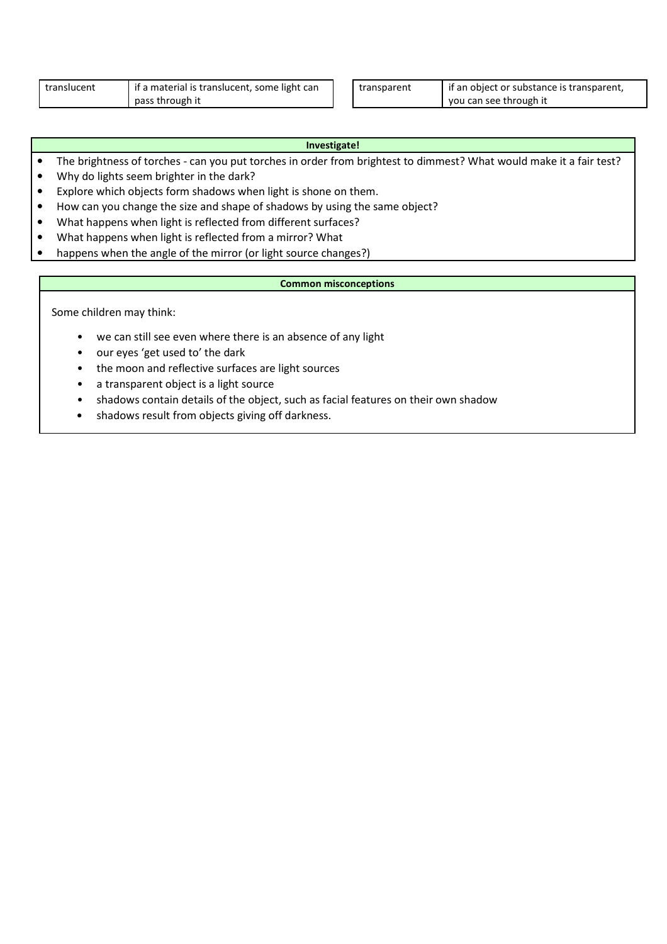| translucent | if a material is translucent, some light can |
|-------------|----------------------------------------------|
|             | pass through it                              |

transparent | if an object or substance is transparent, you can see through it

| Investigate! |
|--------------|
|              |

- The brightness of torches can you put torches in order from brightest to dimmest? What would make it a fair test?
- Why do lights seem brighter in the dark?
- Explore which objects form shadows when light is shone on them.
- How can you change the size and shape of shadows by using the same object?
- What happens when light is reflected from different surfaces?
- What happens when light is reflected from a mirror? What
- happens when the angle of the mirror (or light source changes?)

## **Common misconceptions**

Some children may think:

- we can still see even where there is an absence of any light
- our eyes 'get used to' the dark
- the moon and reflective surfaces are light sources
- a transparent object is a light source
- shadows contain details of the object, such as facial features on their own shadow
- shadows result from objects giving off darkness.